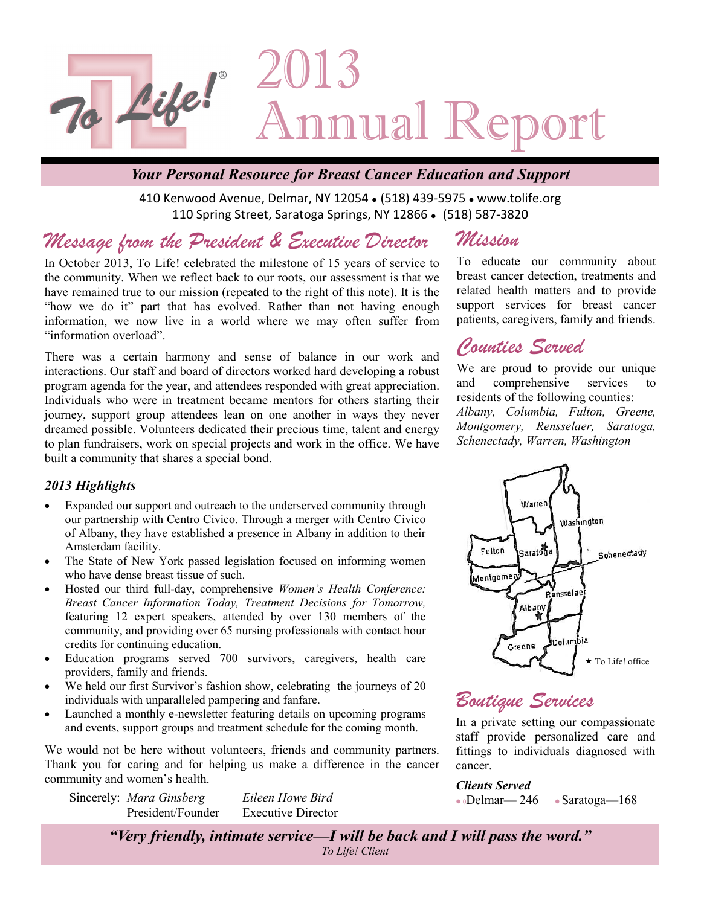

### *Your Personal Resource for Breast Cancer Education and Support*

410 Kenwood Avenue, Delmar, NY 12054 . (518) 439-5975 . www.tolife.org 110 Spring Street, Saratoga Springs, NY 12866 • (518) 587-3820

# *Message from the President & Executive Director*

In October 2013, To Life! celebrated the milestone of 15 years of service to the community. When we reflect back to our roots, our assessment is that we have remained true to our mission (repeated to the right of this note). It is the "how we do it" part that has evolved. Rather than not having enough information, we now live in a world where we may often suffer from "information overload".

There was a certain harmony and sense of balance in our work and interactions. Our staff and board of directors worked hard developing a robust program agenda for the year, and attendees responded with great appreciation. Individuals who were in treatment became mentors for others starting their journey, support group attendees lean on one another in ways they never dreamed possible. Volunteers dedicated their precious time, talent and energy to plan fundraisers, work on special projects and work in the office. We have built a community that shares a special bond.

### *2013 Highlights*

- Expanded our support and outreach to the underserved community through our partnership with Centro Civico. Through a merger with Centro Civico of Albany, they have established a presence in Albany in addition to their Amsterdam facility.
- The State of New York passed legislation focused on informing women who have dense breast tissue of such.
- Hosted our third full-day, comprehensive *Women's Health Conference: Breast Cancer Information Today, Treatment Decisions for Tomorrow,*  featuring 12 expert speakers, attended by over 130 members of the community, and providing over 65 nursing professionals with contact hour credits for continuing education.
- Education programs served 700 survivors, caregivers, health care providers, family and friends.
- We held our first Survivor's fashion show, celebrating the journeys of 20 individuals with unparalleled pampering and fanfare.
- Launched a monthly e-newsletter featuring details on upcoming programs and events, support groups and treatment schedule for the coming month.

We would not be here without volunteers, friends and community partners. Thank you for caring and for helping us make a difference in the cancer community and women's health.

Sincerely: *Mara Ginsberg Eileen Howe Bird* President/Founder Executive Director

## *Mission*

To educate our community about breast cancer detection, treatments and related health matters and to provide support services for breast cancer patients, caregivers, family and friends.

## *Counties Served*

We are proud to provide our unique and comprehensive services to residents of the following counties: *Albany, Columbia, Fulton, Greene, Montgomery, Rensselaer, Saratoga, Schenectady, Warren, Washington*



## *Boutique Services*

In a private setting our compassionate staff provide personalized care and fittings to individuals diagnosed with cancer.

*Clients Served* <sup>0</sup>Delmar— 246 Saratoga—168

*"Very friendly, intimate service—I will be back and I will pass the word." —To Life! Client*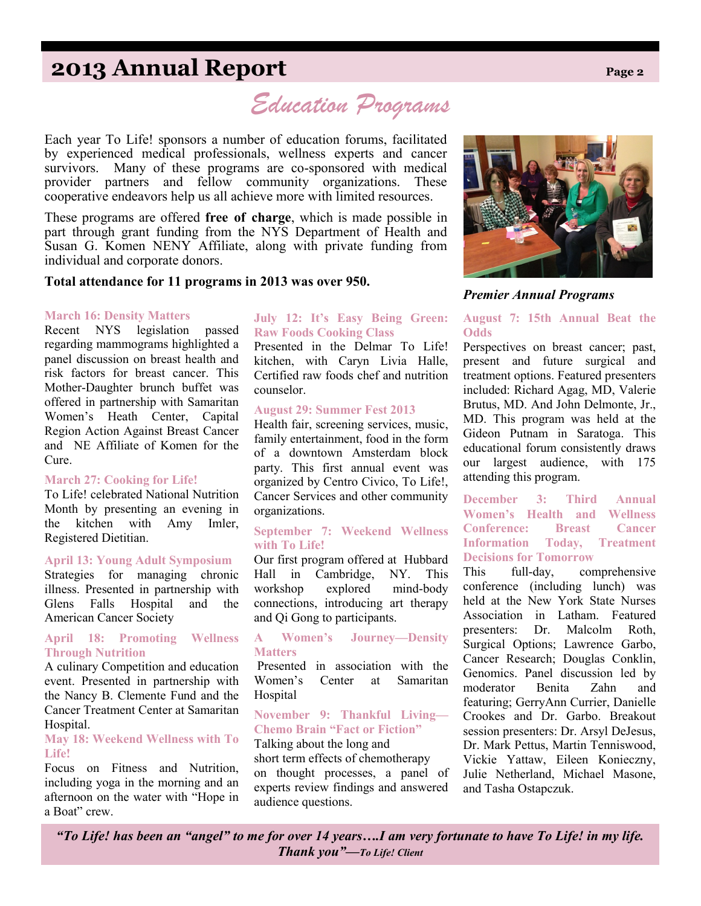# **2013 Annual Report Page 2**

*Education Programs*

Each year To Life! sponsors a number of education forums, facilitated by experienced medical professionals, wellness experts and cancer survivors. Many of these programs are co-sponsored with medical provider partners and fellow community organizations. These cooperative endeavors help us all achieve more with limited resources.

These programs are offered **free of charge**, which is made possible in part through grant funding from the NYS Department of Health and Susan G. Komen NENY Affiliate, along with private funding from individual and corporate donors.

### **Total attendance for 11 programs in 2013 was over 950.**

#### **March 16: Density Matters**

Recent NYS legislation passed regarding mammograms highlighted a panel discussion on breast health and risk factors for breast cancer. This Mother-Daughter brunch buffet was offered in partnership with Samaritan Women's Heath Center, Capital Region Action Against Breast Cancer and NE Affiliate of Komen for the Cure.

#### **March 27: Cooking for Life!**

To Life! celebrated National Nutrition Month by presenting an evening in the kitchen with Amy Imler, Registered Dietitian.

#### **April 13: Young Adult Symposium**

Strategies for managing chronic illness. Presented in partnership with Glens Falls Hospital and the American Cancer Society

### **April 18: Promoting Wellness Through Nutrition**

A culinary Competition and education event. Presented in partnership with the Nancy B. Clemente Fund and the Cancer Treatment Center at Samaritan Hospital.

#### **May 18: Weekend Wellness with To Life!**

Focus on Fitness and Nutrition, including yoga in the morning and an afternoon on the water with "Hope in a Boat" crew.

### **July 12: It's Easy Being Green: Raw Foods Cooking Class**

Presented in the Delmar To Life! kitchen, with Caryn Livia Halle, Certified raw foods chef and nutrition counselor.

### **August 29: Summer Fest 2013**

Health fair, screening services, music, family entertainment, food in the form of a downtown Amsterdam block party. This first annual event was organized by Centro Civico, To Life!, Cancer Services and other community organizations.

#### **September 7: Weekend Wellness with To Life!**

Our first program offered at Hubbard Hall in Cambridge, NY. This workshop explored mind-body connections, introducing art therapy and Qi Gong to participants.

#### **A Women's Journey—Density Matters**

Presented in association with the Women's Center at Samaritan Hospital

### **November 9: Thankful Living— Chemo Brain "Fact or Fiction"**

Talking about the long and short term effects of chemotherapy on thought processes, a panel of experts review findings and answered audience questions.



*Premier Annual Programs*

#### **August 7: 15th Annual Beat the Odds**

Perspectives on breast cancer; past, present and future surgical and treatment options. Featured presenters included: Richard Agag, MD, Valerie Brutus, MD. And John Delmonte, Jr., MD. This program was held at the Gideon Putnam in Saratoga. This educational forum consistently draws our largest audience, with 175 attending this program.

**December 3: Third Annual Women's Health and Wellness Conference: Breast Cancer Information Today, Treatment Decisions for Tomorrow** 

This full-day, comprehensive conference (including lunch) was held at the New York State Nurses Association in Latham. Featured presenters: Dr. Malcolm Roth, Surgical Options; Lawrence Garbo, Cancer Research; Douglas Conklin, Genomics. Panel discussion led by moderator Benita Zahn and featuring; GerryAnn Currier, Danielle Crookes and Dr. Garbo. Breakout session presenters: Dr. Arsyl DeJesus, Dr. Mark Pettus, Martin Tenniswood, Vickie Yattaw, Eileen Konieczny, Julie Netherland, Michael Masone, and Tasha Ostapczuk.

*"To Life! has been an "angel" to me for over 14 years….I am very fortunate to have To Life! in my life. Thank you"—To Life! Client*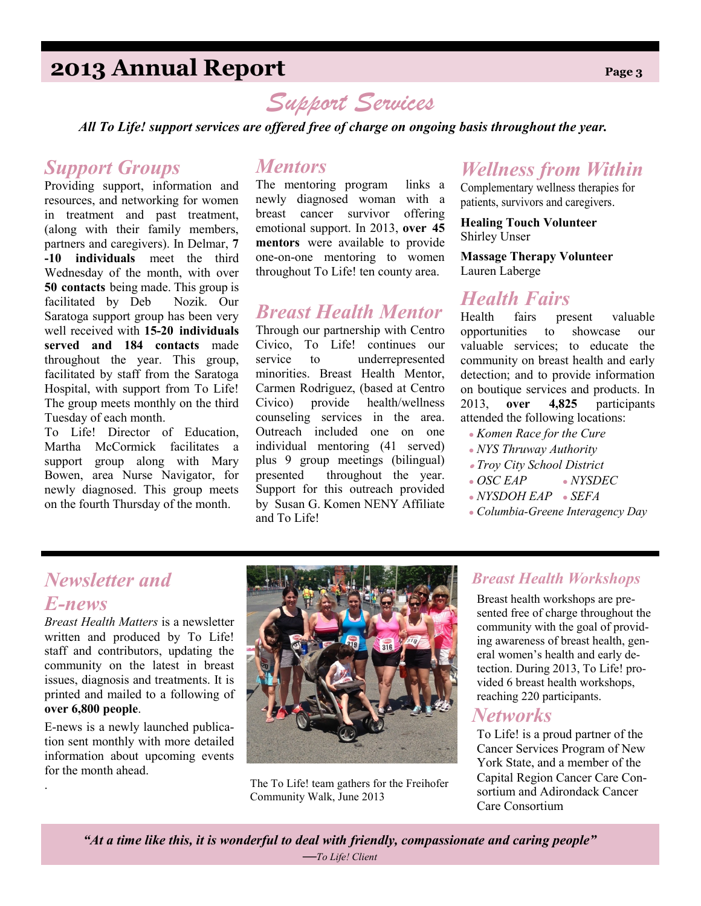# **2013 Annual Report** Page 3

# *Support Services*

 *All To Life! support services are offered free of charge on ongoing basis throughout the year.*

## *Support Groups*

Providing support, information and resources, and networking for women in treatment and past treatment, (along with their family members, partners and caregivers). In Delmar, **7 -10 individuals** meet the third Wednesday of the month, with over **50 contacts** being made. This group is facilitated by Deb Nozik. Our Saratoga support group has been very well received with **15-20 individuals served and 184 contacts** made throughout the year. This group, facilitated by staff from the Saratoga Hospital, with support from To Life! The group meets monthly on the third Tuesday of each month.

To Life! Director of Education, Martha McCormick facilitates a support group along with Mary Bowen, area Nurse Navigator, for newly diagnosed. This group meets on the fourth Thursday of the month.

## *Mentors*

The mentoring program links a newly diagnosed woman with a breast cancer survivor offering emotional support. In 2013, **over 45 mentors** were available to provide one-on-one mentoring to women throughout To Life! ten county area.

## *Breast Health Mentor*

Through our partnership with Centro Civico, To Life! continues our service to underrepresented minorities. Breast Health Mentor, Carmen Rodriguez, (based at Centro Civico) provide health/wellness counseling services in the area. Outreach included one on one individual mentoring (41 served) plus 9 group meetings (bilingual) presented throughout the year. Support for this outreach provided by Susan G. Komen NENY Affiliate and To Life!

## *Wellness from Within*

Complementary wellness therapies for patients, survivors and caregivers.

**Healing Touch Volunteer** Shirley Unser

**Massage Therapy Volunteer**  Lauren Laberge

### *Health Fairs*

Health fairs present valuable opportunities to showcase our valuable services; to educate the community on breast health and early detection; and to provide information on boutique services and products. In 2013, **over 4,825** participants attended the following locations:

- *Komen Race for the Cure*
- *NYS Thruway Authority*
- *Troy City School District*
- *OSC EAP NYSDEC*
- *NYSDOH EAP SEFA*
- *Columbia-Greene Interagency Day*

# *Newsletter and*

### *E-news*

.

*Breast Health Matters* is a newsletter written and produced by To Life! staff and contributors, updating the community on the latest in breast issues, diagnosis and treatments. It is printed and mailed to a following of **over 6,800 people**.

E-news is a newly launched publication sent monthly with more detailed information about upcoming events for the month ahead.



The To Life! team gathers for the Freihofer Community Walk, June 2013

### *Breast Health Workshops*

Breast health workshops are presented free of charge throughout the community with the goal of providing awareness of breast health, general women's health and early detection. During 2013, To Life! provided 6 breast health workshops, reaching 220 participants.

## *Networks*

To Life! is a proud partner of the Cancer Services Program of New York State, and a member of the Capital Region Cancer Care Consortium and Adirondack Cancer Care Consortium